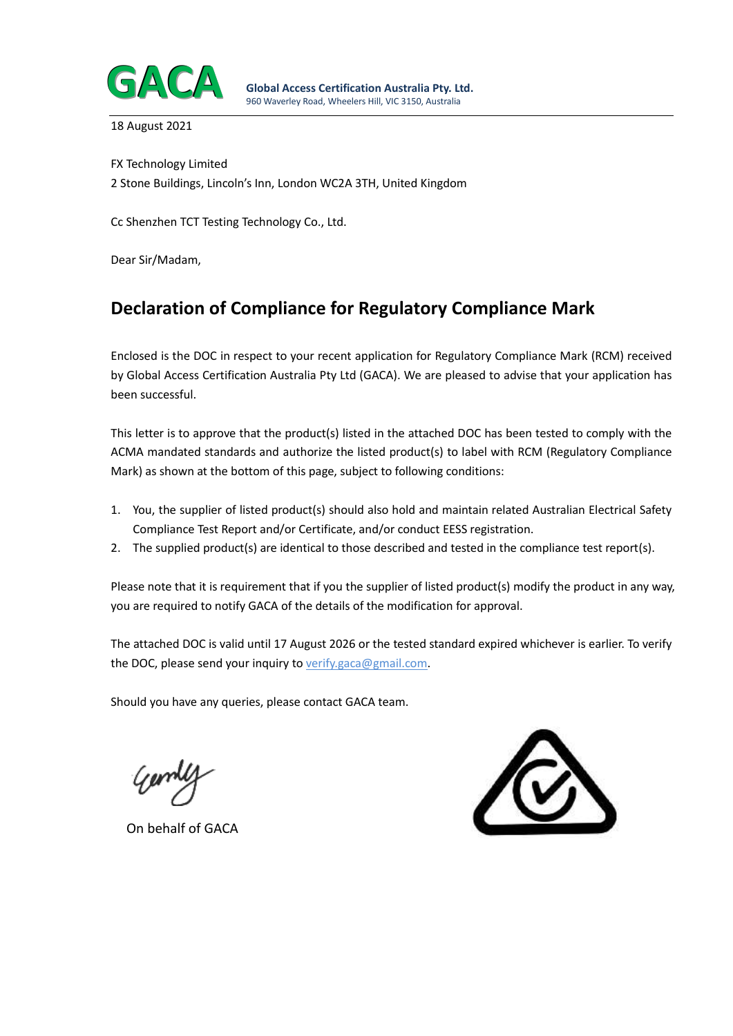

18 August 2021

FX Technology Limited 2 Stone Buildings, Lincoln's Inn, London WC2A 3TH, United Kingdom

Cc Shenzhen TCT Testing Technology Co., Ltd.

Dear Sir/Madam,

# **Declaration of Compliance for Regulatory Compliance Mark**

Enclosed is the DOC in respect to your recent application for Regulatory Compliance Mark (RCM) received by Global Access Certification Australia Pty Ltd (GACA). We are pleased to advise that your application has been successful.

This letter is to approve that the product(s) listed in the attached DOC has been tested to comply with the ACMA mandated standards and authorize the listed product(s) to label with RCM (Regulatory Compliance Mark) as shown at the bottom of this page, subject to following conditions:

- 1. You, the supplier of listed product(s) should also hold and maintain related Australian Electrical Safety Compliance Test Report and/or Certificate, and/or conduct EESS registration.
- 2. The supplied product(s) are identical to those described and tested in the compliance test report(s).

Please note that it is requirement that if you the supplier of listed product(s) modify the product in any way, you are required to notify GACA of the details of the modification for approval.

The attached DOC is valid until 17 August 2026 or the tested standard expired whichever is earlier. To verify the DOC, please send your inquiry to verify.gaca@gmail.com.

Should you have any queries, please contact GACA team.

On behalf of GACA

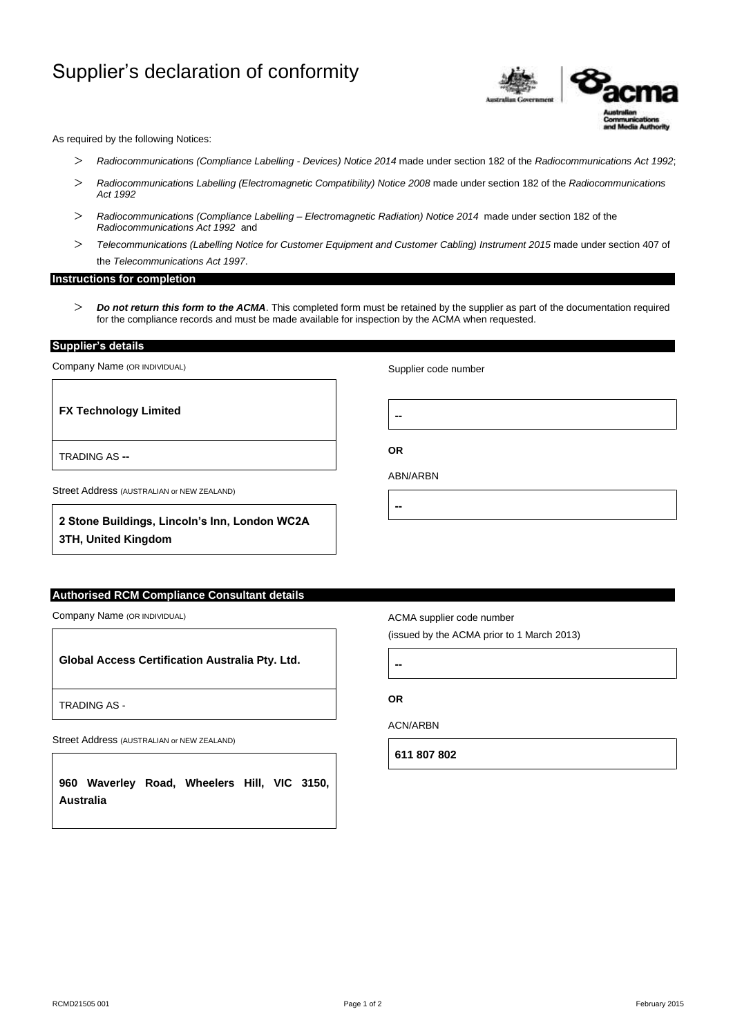# Supplier's declaration of conformity



As required by the following Notices:

- *Radiocommunications (Compliance Labelling - Devices) Notice 2014* made under section 182 of the *Radiocommunications Act 1992*;
- *Radiocommunications Labelling (Electromagnetic Compatibility) Notice 2008* made under section 182 of the *Radiocommunications Act 1992*
- *Radiocommunications (Compliance Labelling – Electromagnetic Radiation) Notice 2014* made under section 182 of the *Radiocommunications Act 1992* and
- *Telecommunications (Labelling Notice for Customer Equipment and Customer Cabling) Instrument 2015* made under section 407 of the *Telecommunications Act 1997*.

#### **Instructions for completion**

 *Do not return this form to the ACMA*. This completed form must be retained by the supplier as part of the documentation required for the compliance records and must be made available for inspection by the ACMA when requested.

**Supplier's details** 

TRADING AS **--**

Company Name (OR INDIVIDUAL)

**FX Technology Limited**

Supplier code number

**--**

**OR**

**--**

ABN/ARBN

Street Address (AUSTRALIAN or NEW ZEALAND)

**2 Stone Buildings, Lincoln's Inn, London WC2A 3TH, United Kingdom**

## **Authorised RCM Compliance Consultant details**

Company Name (OR INDIVIDUAL)

**Global Access Certification Australia Pty. Ltd.**

TRADING AS -

Street Address (AUSTRALIAN or NEW ZEALAND)

**960 Waverley Road, Wheelers Hill, VIC 3150, Australia**

ACMA supplier code number

(issued by the ACMA prior to 1 March 2013)

**--**

**OR**

ACN/ARBN

**611 807 802**